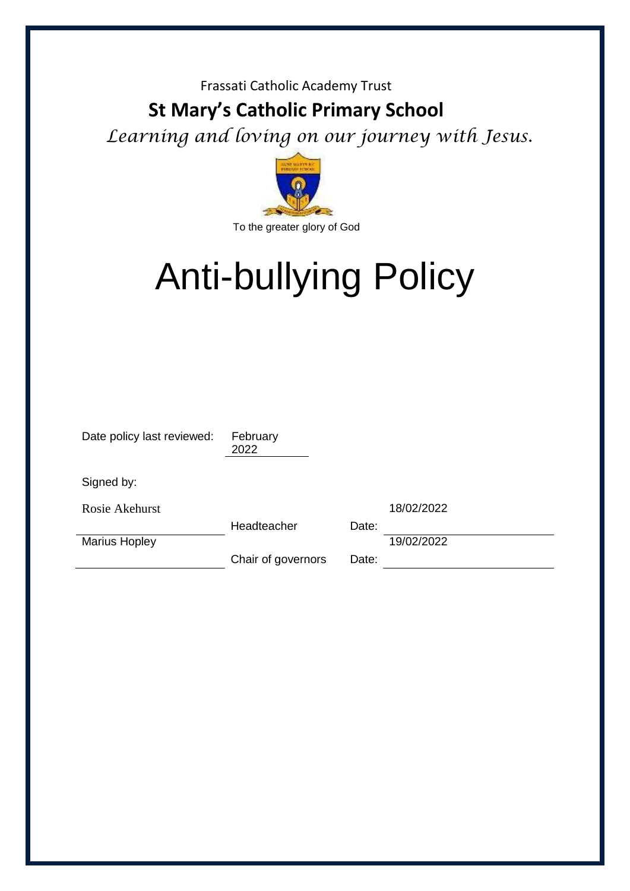#### Frassati Catholic Academy Trust

# **St Mary's Catholic Primary School**

*Learning and loving on our journey with Jesus.* 



# Anti-bullying Policy

| Date policy last reviewed: | February<br>2022   |       |            |
|----------------------------|--------------------|-------|------------|
| Signed by:                 |                    |       |            |
| Rosie Akehurst             |                    |       | 18/02/2022 |
|                            | Headteacher        | Date: |            |
| <b>Marius Hopley</b>       |                    |       | 19/02/2022 |
|                            | Chair of governors | Date: |            |
|                            |                    |       |            |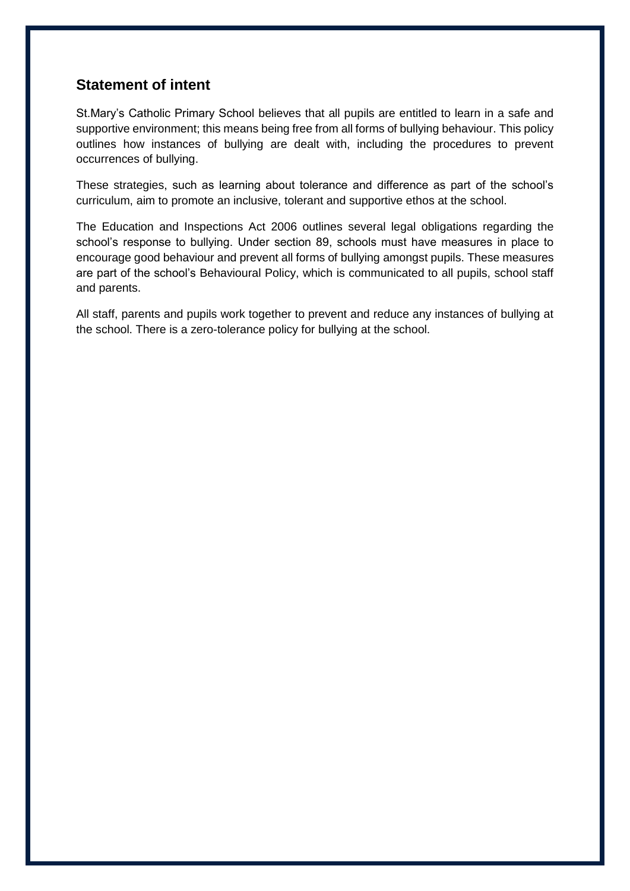#### **Statement of intent**

St.Mary's Catholic Primary School believes that all pupils are entitled to learn in a safe and supportive environment; this means being free from all forms of bullying behaviour. This policy outlines how instances of bullying are dealt with, including the procedures to prevent occurrences of bullying.

These strategies, such as learning about tolerance and difference as part of the school's curriculum, aim to promote an inclusive, tolerant and supportive ethos at the school.

The Education and Inspections Act 2006 outlines several legal obligations regarding the school's response to bullying. Under section 89, schools must have measures in place to encourage good behaviour and prevent all forms of bullying amongst pupils. These measures are part of the school's Behavioural Policy, which is communicated to all pupils, school staff and parents.

All staff, parents and pupils work together to prevent and reduce any instances of bullying at the school. There is a zero-tolerance policy for bullying at the school.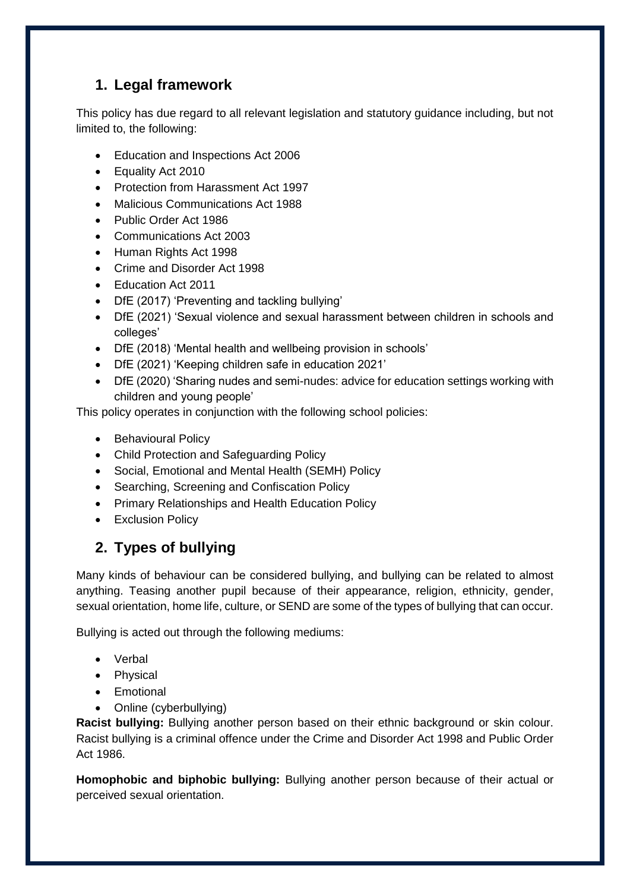# **1. Legal framework**

This policy has due regard to all relevant legislation and statutory guidance including, but not limited to, the following:

- Education and Inspections Act 2006
- Equality Act 2010
- Protection from Harassment Act 1997
- Malicious Communications Act 1988
- Public Order Act 1986
- Communications Act 2003
- Human Rights Act 1998
- Crime and Disorder Act 1998
- Education Act 2011
- DfE (2017) 'Preventing and tackling bullying'
- DfE (2021) 'Sexual violence and sexual harassment between children in schools and colleges'
- DfE (2018) 'Mental health and wellbeing provision in schools'
- DfE (2021) 'Keeping children safe in education 2021'
- DfE (2020) 'Sharing nudes and semi-nudes: advice for education settings working with children and young people'

This policy operates in conjunction with the following school policies:

- Behavioural Policy
- Child Protection and Safeguarding Policy
- Social, Emotional and Mental Health (SEMH) Policy
- Searching, Screening and Confiscation Policy
- Primary Relationships and Health Education Policy
- **•** Exclusion Policy

# <span id="page-2-0"></span>**2. Types of bullying**

Many kinds of behaviour can be considered bullying, and bullying can be related to almost anything. Teasing another pupil because of their appearance, religion, ethnicity, gender, sexual orientation, home life, culture, or SEND are some of the types of bullying that can occur.

Bullying is acted out through the following mediums:

- Verbal
- Physical
- Emotional
- Online (cyberbullying)

**Racist bullying:** Bullying another person based on their ethnic background or skin colour. Racist bullying is a criminal offence under the Crime and Disorder Act 1998 and Public Order Act 1986.

**Homophobic and biphobic bullying:** Bullying another person because of their actual or perceived sexual orientation.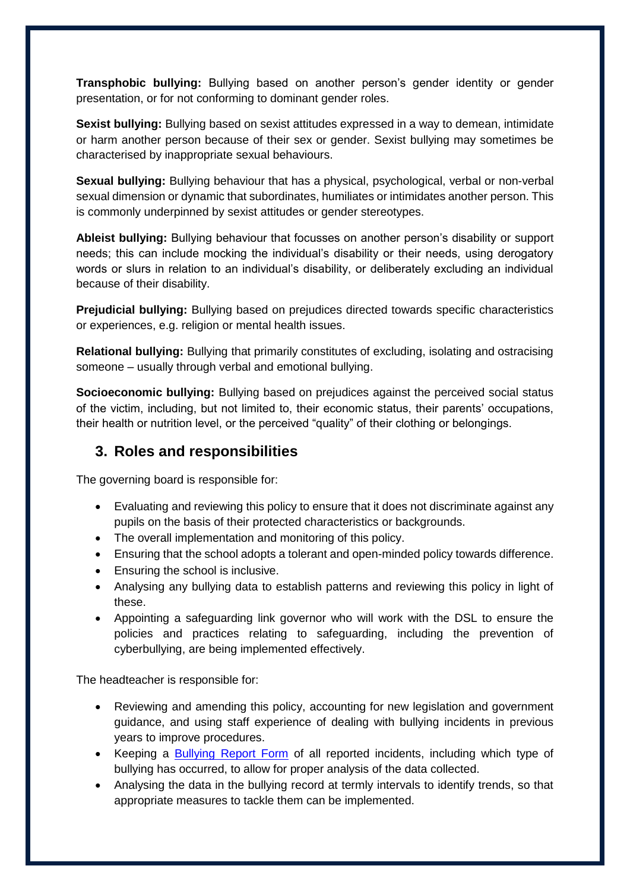**Transphobic bullying:** Bullying based on another person's gender identity or gender presentation, or for not conforming to dominant gender roles.

**Sexist bullying:** Bullying based on sexist attitudes expressed in a way to demean, intimidate or harm another person because of their sex or gender. Sexist bullying may sometimes be characterised by inappropriate sexual behaviours.

**Sexual bullying:** Bullying behaviour that has a physical, psychological, verbal or non-verbal sexual dimension or dynamic that subordinates, humiliates or intimidates another person. This is commonly underpinned by sexist attitudes or gender stereotypes.

**Ableist bullying:** Bullying behaviour that focusses on another person's disability or support needs; this can include mocking the individual's disability or their needs, using derogatory words or slurs in relation to an individual's disability, or deliberately excluding an individual because of their disability.

**Prejudicial bullying:** Bullying based on prejudices directed towards specific characteristics or experiences, e.g. religion or mental health issues.

**Relational bullying:** Bullying that primarily constitutes of excluding, isolating and ostracising someone – usually through verbal and emotional bullying.

**Socioeconomic bullying:** Bullying based on prejudices against the perceived social status of the victim, including, but not limited to, their economic status, their parents' occupations, their health or nutrition level, or the perceived "quality" of their clothing or belongings.

#### **3. Roles and responsibilities**

The governing board is responsible for:

- Evaluating and reviewing this policy to ensure that it does not discriminate against any pupils on the basis of their protected characteristics or backgrounds.
- The overall implementation and monitoring of this policy.
- Ensuring that the school adopts a tolerant and open-minded policy towards difference.
- Ensuring the school is inclusive.
- Analysing any bullying data to establish patterns and reviewing this policy in light of these.
- Appointing a safeguarding link governor who will work with the DSL to ensure the policies and practices relating to safeguarding, including the prevention of cyberbullying, are being implemented effectively.

The headteacher is responsible for:

- Reviewing and amending this policy, accounting for new legislation and government guidance, and using staff experience of dealing with bullying incidents in previous years to improve procedures.
- Keeping a [Bullying Report Form](#page-14-0) of all reported incidents, including which type of bullying has occurred, to allow for proper analysis of the data collected.
- Analysing the data in the bullying record at termly intervals to identify trends, so that appropriate measures to tackle them can be implemented.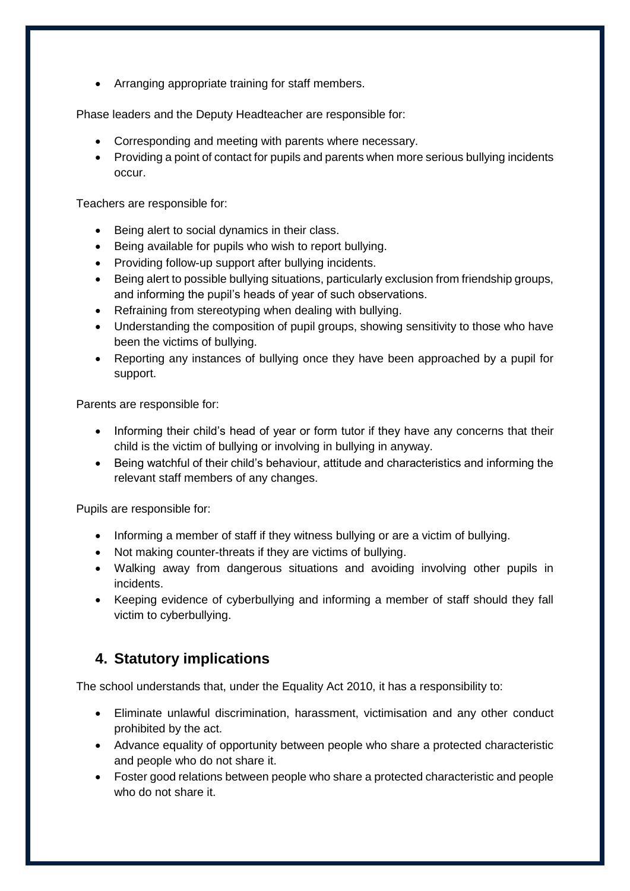Arranging appropriate training for staff members.

Phase leaders and the Deputy Headteacher are responsible for:

- Corresponding and meeting with parents where necessary.
- Providing a point of contact for pupils and parents when more serious bullying incidents occur.

Teachers are responsible for:

- Being alert to social dynamics in their class.
- Being available for pupils who wish to report bullying.
- Providing follow-up support after bullying incidents.
- Being alert to possible bullying situations, particularly exclusion from friendship groups, and informing the pupil's heads of year of such observations.
- Refraining from stereotyping when dealing with bullying.
- Understanding the composition of pupil groups, showing sensitivity to those who have been the victims of bullying.
- Reporting any instances of bullying once they have been approached by a pupil for support.

Parents are responsible for:

- Informing their child's head of year or form tutor if they have any concerns that their child is the victim of bullying or involving in bullying in anyway.
- Being watchful of their child's behaviour, attitude and characteristics and informing the relevant staff members of any changes.

Pupils are responsible for:

- Informing a member of staff if they witness bullying or are a victim of bullying.
- Not making counter-threats if they are victims of bullying.
- Walking away from dangerous situations and avoiding involving other pupils in incidents.
- Keeping evidence of cyberbullying and informing a member of staff should they fall victim to cyberbullying.

## **4. Statutory implications**

The school understands that, under the Equality Act 2010, it has a responsibility to:

- Eliminate unlawful discrimination, harassment, victimisation and any other conduct prohibited by the act.
- Advance equality of opportunity between people who share a protected characteristic and people who do not share it.
- Foster good relations between people who share a protected characteristic and people who do not share it.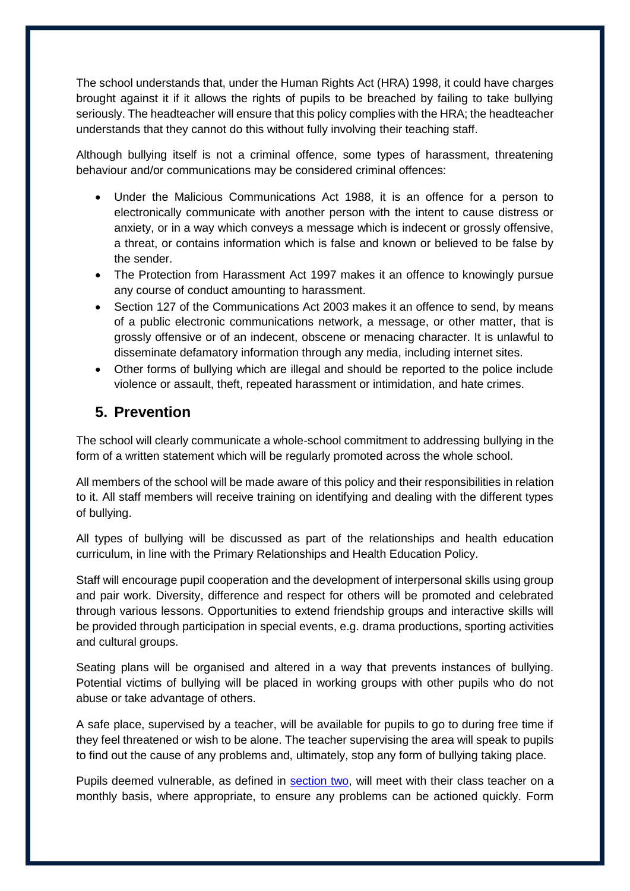The school understands that, under the Human Rights Act (HRA) 1998, it could have charges brought against it if it allows the rights of pupils to be breached by failing to take bullying seriously. The headteacher will ensure that this policy complies with the HRA; the headteacher understands that they cannot do this without fully involving their teaching staff.

Although bullying itself is not a criminal offence, some types of harassment, threatening behaviour and/or communications may be considered criminal offences:

- Under the Malicious Communications Act 1988, it is an offence for a person to electronically communicate with another person with the intent to cause distress or anxiety, or in a way which conveys a message which is indecent or grossly offensive, a threat, or contains information which is false and known or believed to be false by the sender.
- The Protection from Harassment Act 1997 makes it an offence to knowingly pursue any course of conduct amounting to harassment.
- Section 127 of the Communications Act 2003 makes it an offence to send, by means of a public electronic communications network, a message, or other matter, that is grossly offensive or of an indecent, obscene or menacing character. It is unlawful to disseminate defamatory information through any media, including internet sites.
- Other forms of bullying which are illegal and should be reported to the police include violence or assault, theft, repeated harassment or intimidation, and hate crimes.

# <span id="page-5-0"></span>**5. Prevention**

The school will clearly communicate a whole-school commitment to addressing bullying in the form of a written statement which will be regularly promoted across the whole school.

All members of the school will be made aware of this policy and their responsibilities in relation to it. All staff members will receive training on identifying and dealing with the different types of bullying.

All types of bullying will be discussed as part of the relationships and health education curriculum, in line with the Primary Relationships and Health Education Policy.

Staff will encourage pupil cooperation and the development of interpersonal skills using group and pair work. Diversity, difference and respect for others will be promoted and celebrated through various lessons. Opportunities to extend friendship groups and interactive skills will be provided through participation in special events, e.g. drama productions, sporting activities and cultural groups.

Seating plans will be organised and altered in a way that prevents instances of bullying. Potential victims of bullying will be placed in working groups with other pupils who do not abuse or take advantage of others.

A safe place, supervised by a teacher, will be available for pupils to go to during free time if they feel threatened or wish to be alone. The teacher supervising the area will speak to pupils to find out the cause of any problems and, ultimately, stop any form of bullying taking place.

Pupils deemed vulnerable, as defined in [section two,](#page-2-0) will meet with their class teacher on a monthly basis, where appropriate, to ensure any problems can be actioned quickly. Form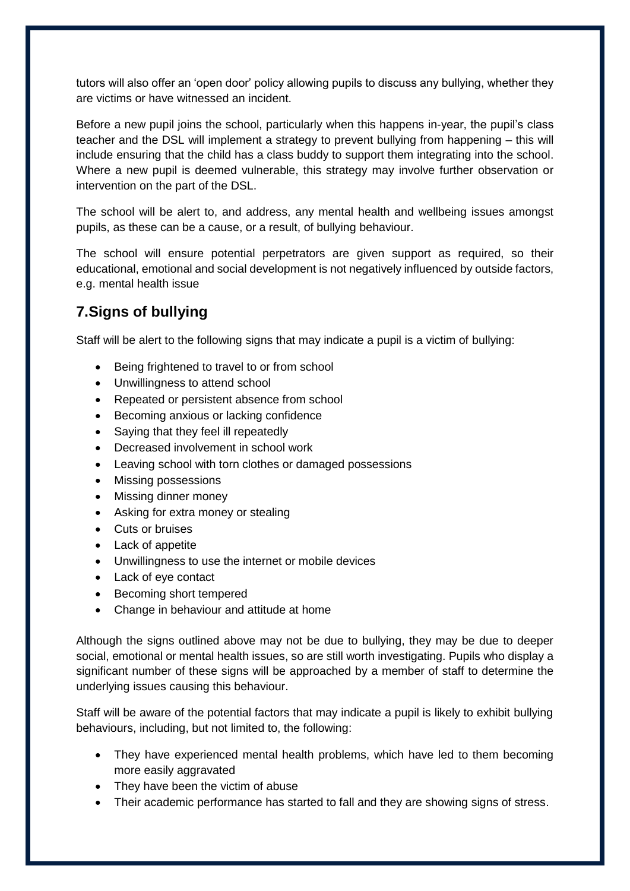tutors will also offer an 'open door' policy allowing pupils to discuss any bullying, whether they are victims or have witnessed an incident.

Before a new pupil joins the school, particularly when this happens in-year, the pupil's class teacher and the DSL will implement a strategy to prevent bullying from happening – this will include ensuring that the child has a class buddy to support them integrating into the school. Where a new pupil is deemed vulnerable, this strategy may involve further observation or intervention on the part of the DSL.

The school will be alert to, and address, any mental health and wellbeing issues amongst pupils, as these can be a cause, or a result, of bullying behaviour.

The school will ensure potential perpetrators are given support as required, so their educational, emotional and social development is not negatively influenced by outside factors, e.g. mental health issue

# <span id="page-6-0"></span>**7.Signs of bullying**

Staff will be alert to the following signs that may indicate a pupil is a victim of bullying:

- Being frightened to travel to or from school
- Unwillingness to attend school
- Repeated or persistent absence from school
- Becoming anxious or lacking confidence
- Saying that they feel ill repeatedly
- Decreased involvement in school work
- Leaving school with torn clothes or damaged possessions
- Missing possessions
- Missing dinner money
- Asking for extra money or stealing
- Cuts or bruises
- Lack of appetite
- Unwillingness to use the internet or mobile devices
- Lack of eye contact
- Becoming short tempered
- Change in behaviour and attitude at home

Although the signs outlined above may not be due to bullying, they may be due to deeper social, emotional or mental health issues, so are still worth investigating. Pupils who display a significant number of these signs will be approached by a member of staff to determine the underlying issues causing this behaviour.

Staff will be aware of the potential factors that may indicate a pupil is likely to exhibit bullying behaviours, including, but not limited to, the following:

- They have experienced mental health problems, which have led to them becoming more easily aggravated
- They have been the victim of abuse
- Their academic performance has started to fall and they are showing signs of stress.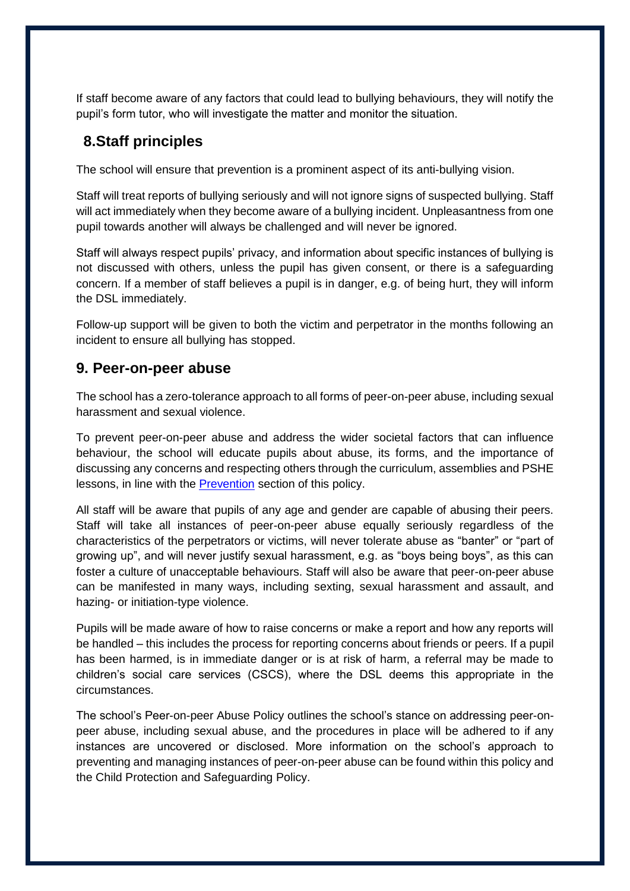If staff become aware of any factors that could lead to bullying behaviours, they will notify the pupil's form tutor, who will investigate the matter and monitor the situation.

# **8.Staff principles**

The school will ensure that prevention is a prominent aspect of its anti-bullying vision.

Staff will treat reports of bullying seriously and will not ignore signs of suspected bullying. Staff will act immediately when they become aware of a bullying incident. Unpleasantness from one pupil towards another will always be challenged and will never be ignored.

Staff will always respect pupils' privacy, and information about specific instances of bullying is not discussed with others, unless the pupil has given consent, or there is a safeguarding concern. If a member of staff believes a pupil is in danger, e.g. of being hurt, they will inform the DSL immediately.

Follow-up support will be given to both the victim and perpetrator in the months following an incident to ensure all bullying has stopped.

#### **9. Peer-on-peer abuse**

The school has a zero-tolerance approach to all forms of peer-on-peer abuse, including sexual harassment and sexual violence.

To prevent peer-on-peer abuse and address the wider societal factors that can influence behaviour, the school will educate pupils about abuse, its forms, and the importance of discussing any concerns and respecting others through the curriculum, assemblies and PSHE lessons, in line with the [Prevention](#page-5-0) section of this policy.

All staff will be aware that pupils of any age and gender are capable of abusing their peers. Staff will take all instances of peer-on-peer abuse equally seriously regardless of the characteristics of the perpetrators or victims, will never tolerate abuse as "banter" or "part of growing up", and will never justify sexual harassment, e.g. as "boys being boys", as this can foster a culture of unacceptable behaviours. Staff will also be aware that peer-on-peer abuse can be manifested in many ways, including sexting, sexual harassment and assault, and hazing- or initiation-type violence.

Pupils will be made aware of how to raise concerns or make a report and how any reports will be handled – this includes the process for reporting concerns about friends or peers. If a pupil has been harmed, is in immediate danger or is at risk of harm, a referral may be made to children's social care services (CSCS), where the DSL deems this appropriate in the circumstances.

The school's Peer-on-peer Abuse Policy outlines the school's stance on addressing peer-onpeer abuse, including sexual abuse, and the procedures in place will be adhered to if any instances are uncovered or disclosed. More information on the school's approach to preventing and managing instances of peer-on-peer abuse can be found within this policy and the Child Protection and Safeguarding Policy.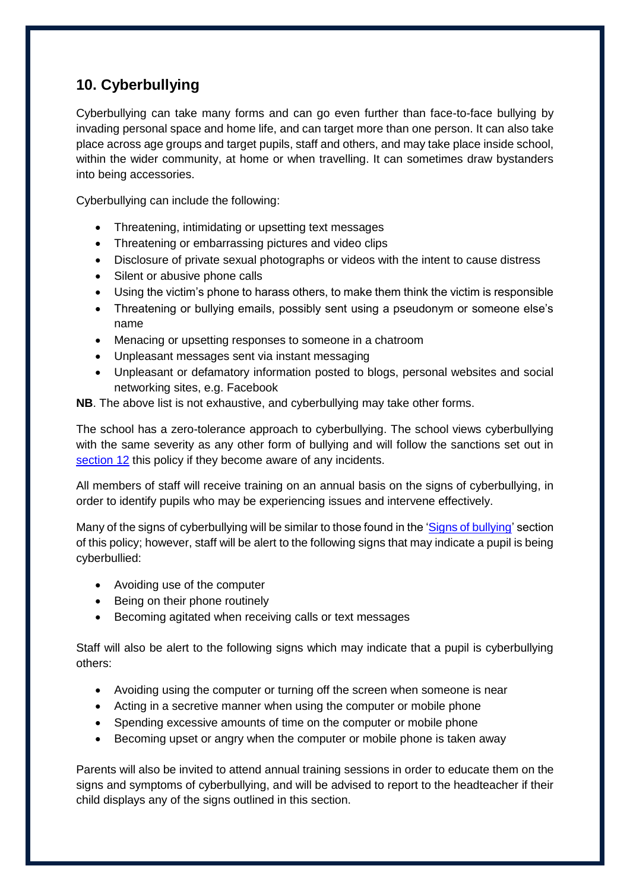# **10. Cyberbullying**

Cyberbullying can take many forms and can go even further than face-to-face bullying by invading personal space and home life, and can target more than one person. It can also take place across age groups and target pupils, staff and others, and may take place inside school, within the wider community, at home or when travelling. It can sometimes draw bystanders into being accessories.

Cyberbullying can include the following:

- Threatening, intimidating or upsetting text messages
- Threatening or embarrassing pictures and video clips
- Disclosure of private sexual photographs or videos with the intent to cause distress
- Silent or abusive phone calls
- Using the victim's phone to harass others, to make them think the victim is responsible
- Threatening or bullying emails, possibly sent using a pseudonym or someone else's name
- Menacing or upsetting responses to someone in a chatroom
- Unpleasant messages sent via instant messaging
- Unpleasant or defamatory information posted to blogs, personal websites and social networking sites, e.g. Facebook

**NB**. The above list is not exhaustive, and cyberbullying may take other forms.

The school has a zero-tolerance approach to cyberbullying. The school views cyberbullying with the same severity as any other form of bullying and will follow the sanctions set out in [section 12](#page-10-0) this policy if they become aware of any incidents.

All members of staff will receive training on an annual basis on the signs of cyberbullying, in order to identify pupils who may be experiencing issues and intervene effectively.

Many of the signs of cyberbullying will be similar to those found in the ['Signs of bullying'](#page-6-0) section of this policy; however, staff will be alert to the following signs that may indicate a pupil is being cyberbullied:

- Avoiding use of the computer
- Being on their phone routinely
- Becoming agitated when receiving calls or text messages

Staff will also be alert to the following signs which may indicate that a pupil is cyberbullying others:

- Avoiding using the computer or turning off the screen when someone is near
- Acting in a secretive manner when using the computer or mobile phone
- Spending excessive amounts of time on the computer or mobile phone
- Becoming upset or angry when the computer or mobile phone is taken away

Parents will also be invited to attend annual training sessions in order to educate them on the signs and symptoms of cyberbullying, and will be advised to report to the headteacher if their child displays any of the signs outlined in this section.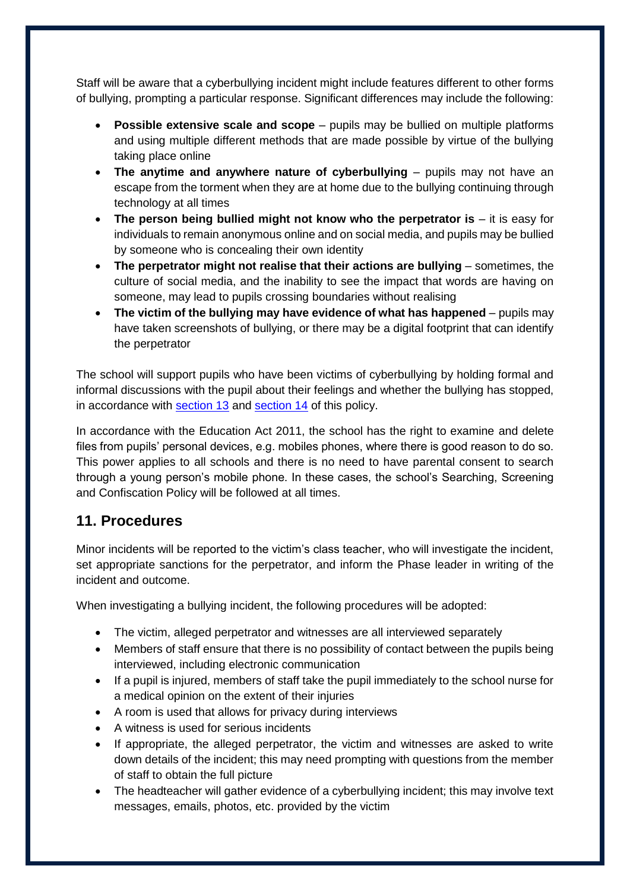Staff will be aware that a cyberbullying incident might include features different to other forms of bullying, prompting a particular response. Significant differences may include the following:

- **Possible extensive scale and scope**  pupils may be bullied on multiple platforms and using multiple different methods that are made possible by virtue of the bullying taking place online
- **The anytime and anywhere nature of cyberbullying** pupils may not have an escape from the torment when they are at home due to the bullying continuing through technology at all times
- **•** The person being bullied might not know who the perpetrator is it is easy for individuals to remain anonymous online and on social media, and pupils may be bullied by someone who is concealing their own identity
- **The perpetrator might not realise that their actions are bullying** sometimes, the culture of social media, and the inability to see the impact that words are having on someone, may lead to pupils crossing boundaries without realising
- **•** The victim of the bullying may have evidence of what has happened pupils may have taken screenshots of bullying, or there may be a digital footprint that can identify the perpetrator

The school will support pupils who have been victims of cyberbullying by holding formal and informal discussions with the pupil about their feelings and whether the bullying has stopped, in accordance with [section 13](#page-10-1) and [section 14](#page-11-0) of this policy.

In accordance with the Education Act 2011, the school has the right to examine and delete files from pupils' personal devices, e.g. mobiles phones, where there is good reason to do so. This power applies to all schools and there is no need to have parental consent to search through a young person's mobile phone. In these cases, the school's Searching, Screening and Confiscation Policy will be followed at all times.

## **11. Procedures**

Minor incidents will be reported to the victim's class teacher, who will investigate the incident, set appropriate sanctions for the perpetrator, and inform the Phase leader in writing of the incident and outcome.

When investigating a bullying incident, the following procedures will be adopted:

- The victim, alleged perpetrator and witnesses are all interviewed separately
- Members of staff ensure that there is no possibility of contact between the pupils being interviewed, including electronic communication
- If a pupil is injured, members of staff take the pupil immediately to the school nurse for a medical opinion on the extent of their injuries
- A room is used that allows for privacy during interviews
- A witness is used for serious incidents
- If appropriate, the alleged perpetrator, the victim and witnesses are asked to write down details of the incident; this may need prompting with questions from the member of staff to obtain the full picture
- The headteacher will gather evidence of a cyberbullying incident; this may involve text messages, emails, photos, etc. provided by the victim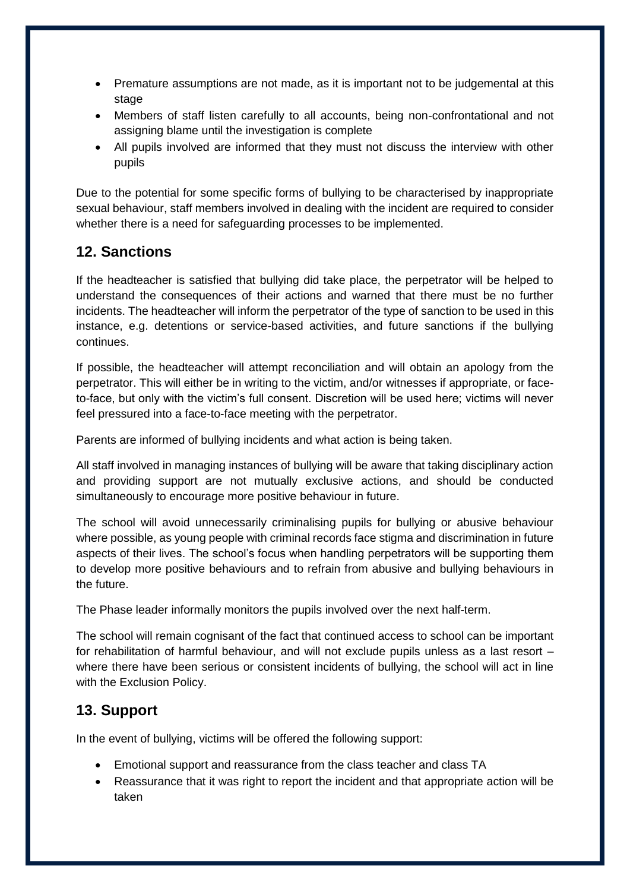- Premature assumptions are not made, as it is important not to be judgemental at this stage
- Members of staff listen carefully to all accounts, being non-confrontational and not assigning blame until the investigation is complete
- All pupils involved are informed that they must not discuss the interview with other pupils

Due to the potential for some specific forms of bullying to be characterised by inappropriate sexual behaviour, staff members involved in dealing with the incident are required to consider whether there is a need for safeguarding processes to be implemented.

## <span id="page-10-0"></span>**12. Sanctions**

If the headteacher is satisfied that bullying did take place, the perpetrator will be helped to understand the consequences of their actions and warned that there must be no further incidents. The headteacher will inform the perpetrator of the type of sanction to be used in this instance, e.g. detentions or service-based activities, and future sanctions if the bullying continues.

If possible, the headteacher will attempt reconciliation and will obtain an apology from the perpetrator. This will either be in writing to the victim, and/or witnesses if appropriate, or faceto-face, but only with the victim's full consent. Discretion will be used here; victims will never feel pressured into a face-to-face meeting with the perpetrator.

Parents are informed of bullying incidents and what action is being taken.

All staff involved in managing instances of bullying will be aware that taking disciplinary action and providing support are not mutually exclusive actions, and should be conducted simultaneously to encourage more positive behaviour in future.

The school will avoid unnecessarily criminalising pupils for bullying or abusive behaviour where possible, as young people with criminal records face stigma and discrimination in future aspects of their lives. The school's focus when handling perpetrators will be supporting them to develop more positive behaviours and to refrain from abusive and bullying behaviours in the future.

The Phase leader informally monitors the pupils involved over the next half-term.

The school will remain cognisant of the fact that continued access to school can be important for rehabilitation of harmful behaviour, and will not exclude pupils unless as a last resort – where there have been serious or consistent incidents of bullying, the school will act in line with the Exclusion Policy.

#### <span id="page-10-1"></span>**13. Support**

In the event of bullying, victims will be offered the following support:

- Emotional support and reassurance from the class teacher and class TA
- Reassurance that it was right to report the incident and that appropriate action will be taken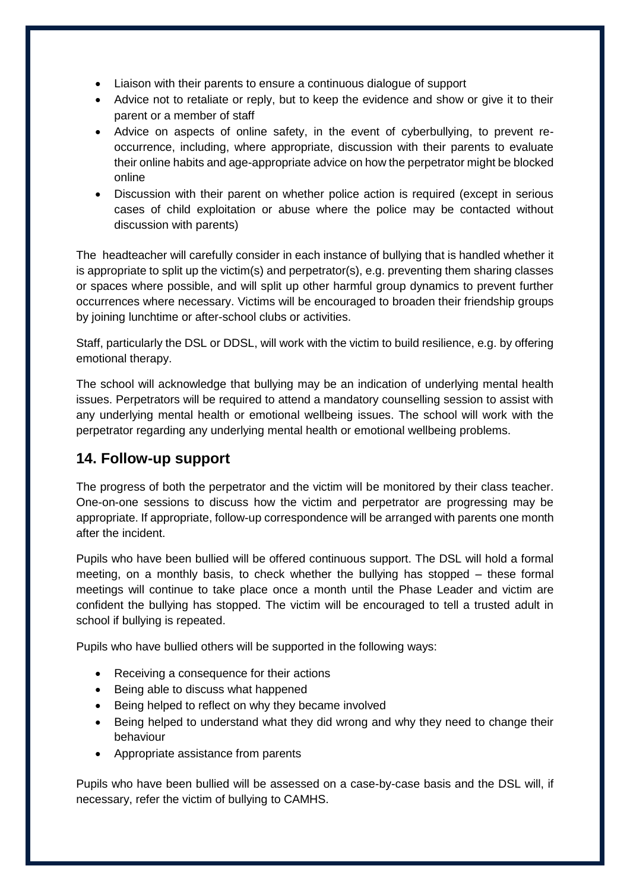- Liaison with their parents to ensure a continuous dialogue of support
- Advice not to retaliate or reply, but to keep the evidence and show or give it to their parent or a member of staff
- Advice on aspects of online safety, in the event of cyberbullying, to prevent reoccurrence, including, where appropriate, discussion with their parents to evaluate their online habits and age-appropriate advice on how the perpetrator might be blocked online
- Discussion with their parent on whether police action is required (except in serious cases of child exploitation or abuse where the police may be contacted without discussion with parents)

The headteacher will carefully consider in each instance of bullying that is handled whether it is appropriate to split up the victim(s) and perpetrator(s), e.g. preventing them sharing classes or spaces where possible, and will split up other harmful group dynamics to prevent further occurrences where necessary. Victims will be encouraged to broaden their friendship groups by joining lunchtime or after-school clubs or activities.

Staff, particularly the DSL or DDSL, will work with the victim to build resilience, e.g. by offering emotional therapy.

The school will acknowledge that bullying may be an indication of underlying mental health issues. Perpetrators will be required to attend a mandatory counselling session to assist with any underlying mental health or emotional wellbeing issues. The school will work with the perpetrator regarding any underlying mental health or emotional wellbeing problems.

## <span id="page-11-0"></span>**14. Follow-up support**

The progress of both the perpetrator and the victim will be monitored by their class teacher. One-on-one sessions to discuss how the victim and perpetrator are progressing may be appropriate. If appropriate, follow-up correspondence will be arranged with parents one month after the incident.

Pupils who have been bullied will be offered continuous support. The DSL will hold a formal meeting, on a monthly basis, to check whether the bullying has stopped – these formal meetings will continue to take place once a month until the Phase Leader and victim are confident the bullying has stopped. The victim will be encouraged to tell a trusted adult in school if bullying is repeated.

Pupils who have bullied others will be supported in the following ways:

- Receiving a consequence for their actions
- Being able to discuss what happened
- Being helped to reflect on why they became involved
- Being helped to understand what they did wrong and why they need to change their behaviour
- Appropriate assistance from parents

Pupils who have been bullied will be assessed on a case-by-case basis and the DSL will, if necessary, refer the victim of bullying to CAMHS.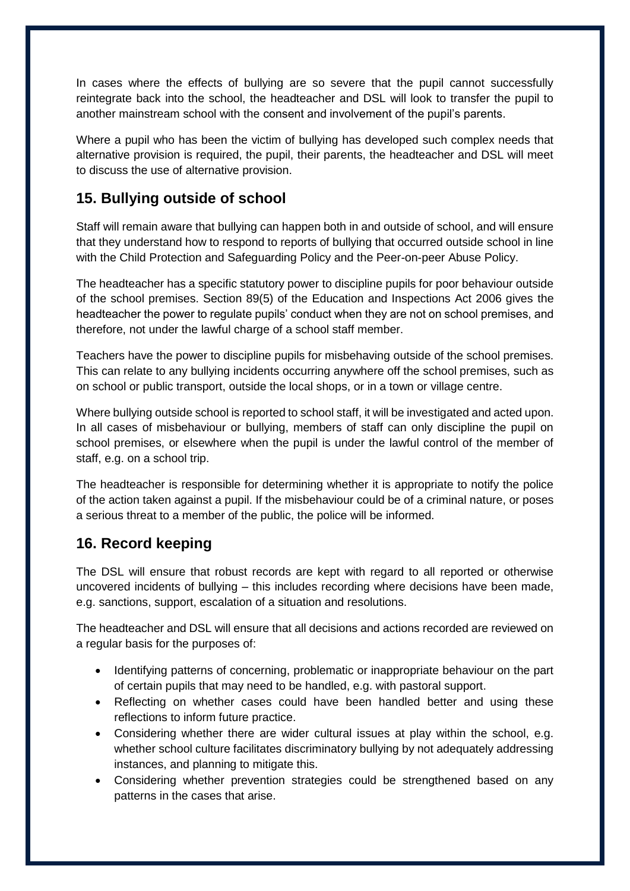In cases where the effects of bullying are so severe that the pupil cannot successfully reintegrate back into the school, the headteacher and DSL will look to transfer the pupil to another mainstream school with the consent and involvement of the pupil's parents.

Where a pupil who has been the victim of bullying has developed such complex needs that alternative provision is required, the pupil, their parents, the headteacher and DSL will meet to discuss the use of alternative provision.

# **15. Bullying outside of school**

Staff will remain aware that bullying can happen both in and outside of school, and will ensure that they understand how to respond to reports of bullying that occurred outside school in line with the Child Protection and Safeguarding Policy and the Peer-on-peer Abuse Policy.

The headteacher has a specific statutory power to discipline pupils for poor behaviour outside of the school premises. Section 89(5) of the Education and Inspections Act 2006 gives the headteacher the power to regulate pupils' conduct when they are not on school premises, and therefore, not under the lawful charge of a school staff member.

Teachers have the power to discipline pupils for misbehaving outside of the school premises. This can relate to any bullying incidents occurring anywhere off the school premises, such as on school or public transport, outside the local shops, or in a town or village centre.

Where bullying outside school is reported to school staff, it will be investigated and acted upon. In all cases of misbehaviour or bullying, members of staff can only discipline the pupil on school premises, or elsewhere when the pupil is under the lawful control of the member of staff, e.g. on a school trip.

The headteacher is responsible for determining whether it is appropriate to notify the police of the action taken against a pupil. If the misbehaviour could be of a criminal nature, or poses a serious threat to a member of the public, the police will be informed.

# **16. Record keeping**

The DSL will ensure that robust records are kept with regard to all reported or otherwise uncovered incidents of bullying – this includes recording where decisions have been made, e.g. sanctions, support, escalation of a situation and resolutions.

The headteacher and DSL will ensure that all decisions and actions recorded are reviewed on a regular basis for the purposes of:

- Identifying patterns of concerning, problematic or inappropriate behaviour on the part of certain pupils that may need to be handled, e.g. with pastoral support.
- Reflecting on whether cases could have been handled better and using these reflections to inform future practice.
- Considering whether there are wider cultural issues at play within the school, e.g. whether school culture facilitates discriminatory bullying by not adequately addressing instances, and planning to mitigate this.
- Considering whether prevention strategies could be strengthened based on any patterns in the cases that arise.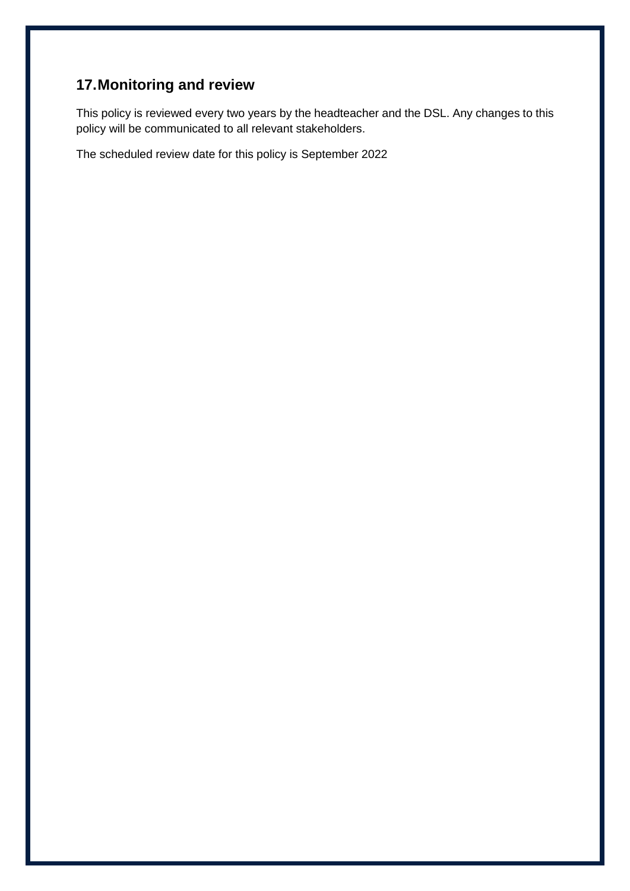# **17.Monitoring and review**

This policy is reviewed every two years by the headteacher and the DSL. Any changes to this policy will be communicated to all relevant stakeholders.

The scheduled review date for this policy is September 2022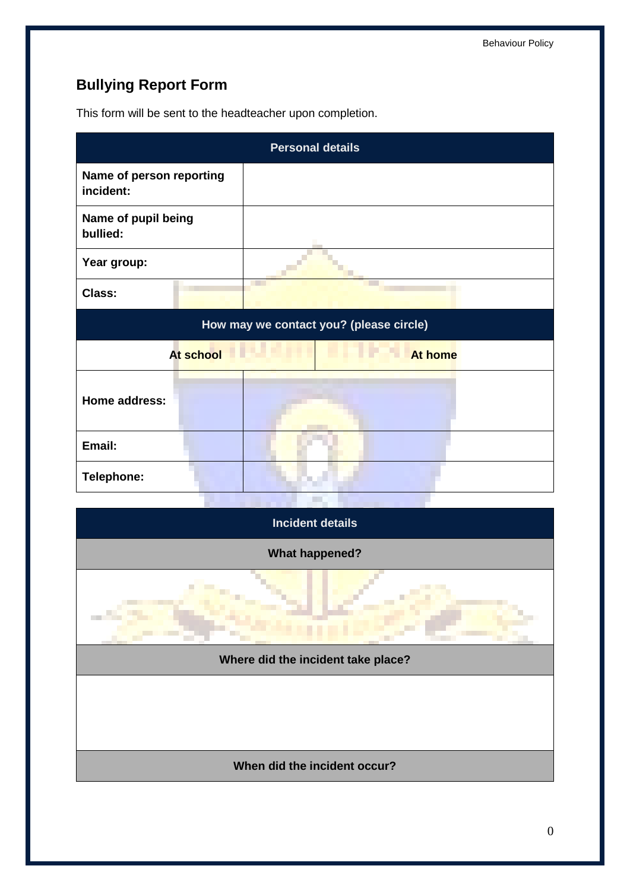# <span id="page-14-0"></span>**Bullying Report Form**

This form will be sent to the headteacher upon completion.

| <b>Personal details</b>                 |  |     |  |  |
|-----------------------------------------|--|-----|--|--|
| Name of person reporting<br>incident:   |  |     |  |  |
| Name of pupil being<br>bullied:         |  |     |  |  |
| Year group:                             |  |     |  |  |
| <b>Class:</b>                           |  | . . |  |  |
| How may we contact you? (please circle) |  |     |  |  |
| At school<br><b>At home</b>             |  |     |  |  |
| Home address:                           |  |     |  |  |
| Email:                                  |  |     |  |  |
| Telephone:                              |  |     |  |  |
|                                         |  |     |  |  |
| <b>Incident details</b>                 |  |     |  |  |
| <b>What happened?</b>                   |  |     |  |  |
|                                         |  |     |  |  |
| Where did the incident take place?      |  |     |  |  |
|                                         |  |     |  |  |
| When did the incident occur?            |  |     |  |  |